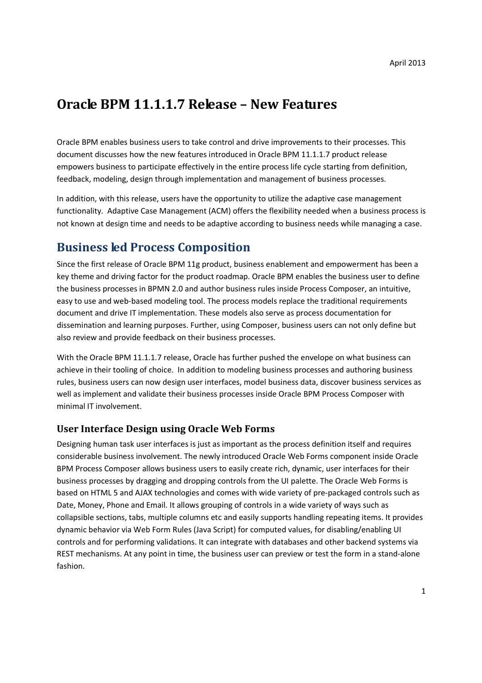# **Oracle BPM 11.1.1.7 Release – New Features**

Oracle BPM enables business users to take control and drive improvements to their processes. This document discusses how the new features introduced in Oracle BPM 11.1.1.7 product release empowers business to participate effectively in the entire process life cycle starting from definition, feedback, modeling, design through implementation and management of business processes.

In addition, with this release, users have the opportunity to utilize the adaptive case management functionality. Adaptive Case Management (ACM) offers the flexibility needed when a business process is not known at design time and needs to be adaptive according to business needs while managing a case.

# **Business led Process Composition**

Since the first release of Oracle BPM 11g product, business enablement and empowerment has been a key theme and driving factor for the product roadmap. Oracle BPM enables the business user to define the business processes in BPMN 2.0 and author business rules inside Process Composer, an intuitive, easy to use and web-based modeling tool. The process models replace the traditional requirements document and drive IT implementation. These models also serve as process documentation for dissemination and learning purposes. Further, using Composer, business users can not only define but also review and provide feedback on their business processes.

With the Oracle BPM 11.1.1.7 release, Oracle has further pushed the envelope on what business can achieve in their tooling of choice. In addition to modeling business processes and authoring business rules, business users can now design user interfaces, model business data, discover business services as well as implement and validate their business processes inside Oracle BPM Process Composer with minimal IT involvement.

### **User Interface Design using Oracle Web Forms**

Designing human task user interfaces is just as important as the process definition itself and requires considerable business involvement. The newly introduced Oracle Web Forms component inside Oracle BPM Process Composer allows business users to easily create rich, dynamic, user interfaces for their business processes by dragging and dropping controls from the UI palette. The Oracle Web Forms is based on HTML 5 and AJAX technologies and comes with wide variety of pre-packaged controls such as Date, Money, Phone and Email. It allows grouping of controls in a wide variety of ways such as collapsible sections, tabs, multiple columns etc and easily supports handling repeating items. It provides dynamic behavior via Web Form Rules (Java Script) for computed values, for disabling/enabling UI controls and for performing validations. It can integrate with databases and other backend systems via REST mechanisms. At any point in time, the business user can preview or test the form in a stand-alone fashion.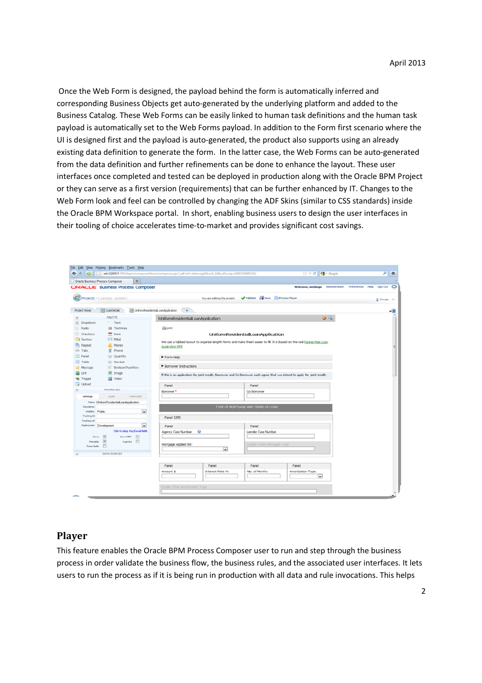Once the Web Form is designed, the payload behind the form is automatically inferred and corresponding Business Objects get auto-generated by the underlying platform and added to the Business Catalog. These Web Forms can be easily linked to human task definitions and the human task payload is automatically set to the Web Forms payload. In addition to the Form first scenario where the UI is designed first and the payload is auto-generated, the product also supports using an already existing data definition to generate the form. In the latter case, the Web Forms can be auto-generated from the data definition and further refinements can be done to enhance the layout. These user interfaces once completed and tested can be deployed in production along with the Oracle BPM Project or they can serve as a first version (requirements) that can be further enhanced by IT. Changes to the Web Form look and feel can be controlled by changing the ADF Skins (similar to CSS standards) inside the Oracle BPM Workspace portal. In short, enabling business users to design the user interfaces in their tooling of choice accelerates time-to-market and provides significant cost savings.

| Cracle Business Process Composer | ÷.                                      |                                            |                        |                                                                                                                         |                                                    |              |    |
|----------------------------------|-----------------------------------------|--------------------------------------------|------------------------|-------------------------------------------------------------------------------------------------------------------------|----------------------------------------------------|--------------|----|
|                                  | <b>ORACLE</b> Business Process Composer |                                            |                        |                                                                                                                         | Welcome, weblogic Administration Preferences Help- | tagn Out     | 0  |
| (C) Projects > LoanApp Lipdate2  |                                         |                                            |                        | You are edting the project view Validate ( Save ( C) Process Player                                                     |                                                    | 8 Photo - in |    |
| Protect Home                     | Ell LoanDetails                         | Uniform ResidentialLoan Application<br>- - |                        |                                                                                                                         |                                                    |              |    |
| $\sim$                           | PALETTE                                 | UniformResidentialLoanApolication          |                        |                                                                                                                         | OQ.                                                |              | -8 |
| * Dropdown                       | Text                                    |                                            |                        |                                                                                                                         |                                                    |              |    |
| C Radio                          | III TextArea                            | <b>Control</b>                             |                        |                                                                                                                         |                                                    |              |    |
| $\Xi$ disolbus                   | <b>M</b> Date                           |                                            |                        | UniformResidentialLoanApplication                                                                                       |                                                    |              |    |
| <b>CI Section</b>                | <b>EVI FMAL</b>                         |                                            |                        |                                                                                                                         |                                                    |              |    |
| <b>PA</b> Repeat                 | <b>IL</b> , Money                       |                                            |                        | We use a tabled layout to organize length forms and make them easer to fill. It is loased on the real Earmie Mae Loan   |                                                    |              |    |
| $= 1286$                         | <b>E</b> Phone                          | Angle ation PDF                            |                        |                                                                                                                         |                                                    |              |    |
| <b>III</b> Panel                 | <b>H. Quantity</b>                      |                                            |                        |                                                                                                                         |                                                    |              |    |
| Table                            | itsi Number                             | F Form Help                                |                        |                                                                                                                         |                                                    |              |    |
|                                  |                                         | P Borrower Instructions                    |                        |                                                                                                                         |                                                    |              |    |
| Metrice                          | C Booker/Checkbox                       |                                            |                        |                                                                                                                         |                                                    |              |    |
| <b>Last</b> Unit                 | III. Image                              |                                            |                        | If this is an application for joint crodit, Domower and Co-Domower each agree that we intend to apply for joint credit: |                                                    |              |    |
| <b>Higger</b>                    | <b>Ndeo</b>                             |                                            |                        |                                                                                                                         |                                                    |              |    |
| <b>B</b> Upload                  |                                         | Panel                                      |                        | Parel                                                                                                                   |                                                    |              |    |
| w                                | <b>PROFERIES</b>                        | Borrower <sup>®</sup>                      |                        | Cas Borrower                                                                                                            |                                                    |              |    |
| settings                         | <b>SOVIE</b><br>POFIL INO.              |                                            |                        |                                                                                                                         |                                                    |              |    |
|                                  | Nems UniformFlexidentialLoanAppdication |                                            |                        |                                                                                                                         |                                                    |              |    |
| Description                      |                                         |                                            |                        | TYPE OF MORTGAGE AND TERMS OF LOAN.                                                                                     |                                                    |              |    |
| Visiting Public                  | $\sim$                                  |                                            |                        |                                                                                                                         |                                                    |              |    |
| Trading M<br>Tracking Ltd.       |                                         | Panel 1205                                 |                        |                                                                                                                         |                                                    |              |    |
| Deployment Davelopment           | $\Box$                                  | Parel                                      |                        | Panel                                                                                                                   |                                                    |              |    |
|                                  | Club to satus Key/Saved Relit.          | ÷                                          |                        | Lender Case Number                                                                                                      |                                                    |              |    |
| Saver                            | $\mathcal{A}$<br>Sus PRF ET             | Agency Case Number                         |                        |                                                                                                                         |                                                    |              |    |
| Printables                       | $\mathcal{A}$<br>п<br>Captolic          |                                            |                        |                                                                                                                         |                                                    |              |    |
| Force Auth                       | 門                                       | MORTISION ADDRESS FOR:                     |                        | Explain Other Mortgage Type                                                                                             |                                                    |              |    |
|                                  |                                         |                                            | $\bullet$              |                                                                                                                         |                                                    |              |    |
| $\mathbf{A}$                     | DATA SOURCES                            |                                            |                        |                                                                                                                         |                                                    |              |    |
|                                  |                                         |                                            |                        |                                                                                                                         |                                                    |              |    |
|                                  |                                         | Panel                                      | Panel                  | Panel                                                                                                                   | Panel                                              |              |    |
|                                  |                                         | Amount \$                                  | <b>Interest Rate %</b> | No. of Months                                                                                                           | Americation Type:                                  |              |    |
|                                  |                                         |                                            |                        |                                                                                                                         | E.                                                 |              |    |
|                                  |                                         |                                            |                        |                                                                                                                         |                                                    |              |    |
|                                  |                                         | Explain Other Amortization Type:           |                        |                                                                                                                         |                                                    |              |    |

#### **Player**

This feature enables the Oracle BPM Process Composer user to run and step through the business process in order validate the business flow, the business rules, and the associated user interfaces. It lets users to run the process as if it is being run in production with all data and rule invocations. This helps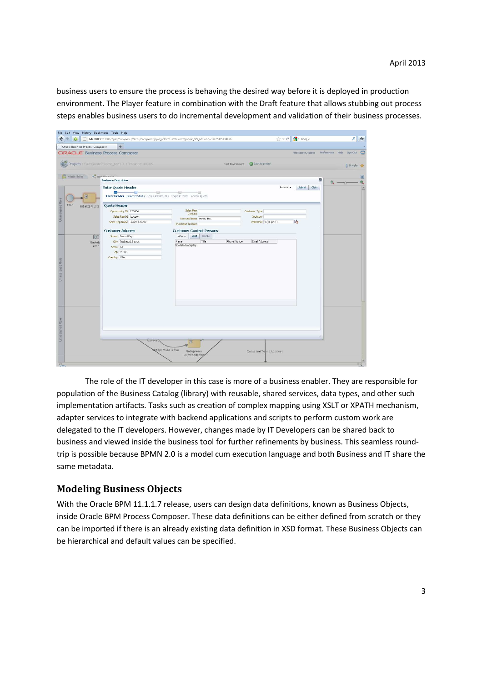business users to ensure the process is behaving the desired way before it is deployed in production environment. The Player feature in combination with the Draft feature that allows stubbing out process steps enables business users to do incremental development and validation of their business processes.

|                 | Eile Edit View History Bookmarks Tools Help |                                                                                                       |                                 |                       |                 |                          |                    |                   |                           |     |
|-----------------|---------------------------------------------|-------------------------------------------------------------------------------------------------------|---------------------------------|-----------------------|-----------------|--------------------------|--------------------|-------------------|---------------------------|-----|
|                 | a                                           | adc2100937:7001/bpm/composer/faces/composer.jspx?_adf.ctrl-state=aczgpvy4c_88t_afrLoop=16225415734056 |                                 |                       |                 |                          | ☆ v C   M - Google |                   |                           | 9 命 |
|                 | Oracle Business Process Composer            | $+$                                                                                                   |                                 |                       |                 |                          |                    |                   |                           |     |
|                 |                                             | ORACLE' Business Process Composer                                                                     |                                 |                       |                 |                          | Welcome, jstein    |                   | Preferences Help Sign Out |     |
|                 |                                             | Projects > SalesQuoteFrocess_rev1.0 > Instance: 40006                                                 |                                 | Test Environment      | Back to project |                          |                    |                   | 8 Private                 |     |
|                 | Project Player                              | RemarkTunto<br><b>Instance Execution</b>                                                              |                                 |                       |                 |                          |                    | ×<br>$\mathbf{a}$ | $-\alpha$                 |     |
|                 |                                             | Enter Quote Header                                                                                    |                                 |                       |                 | Actions +                | Submit<br>Claim    |                   |                           |     |
|                 |                                             | 0<br>Enter Header Select Products Request Discounts Request Terms Review Quote                        |                                 |                       |                 |                          |                    |                   |                           |     |
| Unassigned Role | <b>Start</b><br>Initialize Quote            | Quote Header                                                                                          |                                 |                       |                 |                          |                    |                   |                           |     |
|                 |                                             | Opportunity ID 123456                                                                                 | Sales Rep<br>Contact            |                       | Customer Type   |                          |                    |                   |                           |     |
|                 |                                             | Sales Rep Id jcooper                                                                                  | Account Name Acme, Inc.         |                       | Industry        |                          | 国                  |                   |                           |     |
|                 |                                             | Sales Rep Name James Cooper                                                                           | Purchase To Date                |                       |                 | Vald Until 12/30/2011    |                    |                   |                           |     |
|                 |                                             | <b>Customer Address</b>                                                                               | <b>Customer Contact Persons</b> |                       |                 |                          |                    |                   |                           |     |
|                 | $\overline{O}$                              | Street Demo Way                                                                                       | View +<br>Add                   | Delete                |                 |                          |                    |                   |                           |     |
|                 | QuoteE<br>ered                              | City Redwood Shores                                                                                   | Name<br>No data to display.     | Title<br>Phone Number | Email Address   |                          |                    |                   |                           |     |
|                 |                                             | State CA                                                                                              |                                 |                       |                 |                          |                    |                   |                           |     |
|                 |                                             | Zip 94065                                                                                             |                                 |                       |                 |                          |                    |                   |                           |     |
|                 |                                             | Country USA                                                                                           |                                 |                       |                 |                          |                    |                   |                           |     |
|                 |                                             |                                                                                                       |                                 |                       |                 |                          |                    |                   |                           |     |
| Unassigned Role |                                             |                                                                                                       |                                 |                       |                 |                          |                    |                   |                           |     |
|                 |                                             |                                                                                                       |                                 |                       |                 |                          |                    |                   |                           |     |
|                 |                                             |                                                                                                       |                                 |                       |                 |                          |                    |                   |                           |     |
|                 |                                             |                                                                                                       |                                 |                       |                 |                          |                    |                   |                           |     |
|                 |                                             |                                                                                                       |                                 |                       |                 |                          |                    |                   |                           |     |
|                 |                                             |                                                                                                       |                                 |                       |                 |                          |                    |                   |                           |     |
|                 |                                             |                                                                                                       |                                 |                       |                 |                          |                    |                   |                           |     |
|                 |                                             |                                                                                                       |                                 |                       |                 |                          |                    |                   |                           |     |
|                 |                                             |                                                                                                       |                                 |                       |                 |                          |                    |                   |                           |     |
|                 |                                             |                                                                                                       |                                 |                       |                 |                          |                    |                   |                           |     |
|                 |                                             |                                                                                                       |                                 |                       |                 |                          |                    |                   |                           |     |
| Unassigned Role |                                             |                                                                                                       |                                 |                       |                 |                          |                    |                   |                           |     |
|                 |                                             | Approved.                                                                                             | 恒                               |                       |                 |                          |                    |                   |                           |     |
|                 |                                             |                                                                                                       |                                 |                       |                 |                          |                    |                   |                           |     |
|                 |                                             | Self Approved is true                                                                                 | Set Approve<br>Quote Outcom     |                       |                 | Deals and Terms Approved |                    |                   |                           |     |
|                 |                                             |                                                                                                       |                                 |                       |                 |                          |                    |                   |                           |     |
|                 |                                             |                                                                                                       |                                 |                       |                 |                          |                    |                   |                           | 呗   |

The role of the IT developer in this case is more of a business enabler. They are responsible for population of the Business Catalog (library) with reusable, shared services, data types, and other such implementation artifacts. Tasks such as creation of complex mapping using XSLT or XPATH mechanism, adapter services to integrate with backend applications and scripts to perform custom work are delegated to the IT developers. However, changes made by IT Developers can be shared back to business and viewed inside the business tool for further refinements by business. This seamless roundtrip is possible because BPMN 2.0 is a model cum execution language and both Business and IT share the same metadata.

### **Modeling Business Objects**

With the Oracle BPM 11.1.1.7 release, users can design data definitions, known as Business Objects, inside Oracle BPM Process Composer. These data definitions can be either defined from scratch or they can be imported if there is an already existing data definition in XSD format. These Business Objects can be hierarchical and default values can be specified.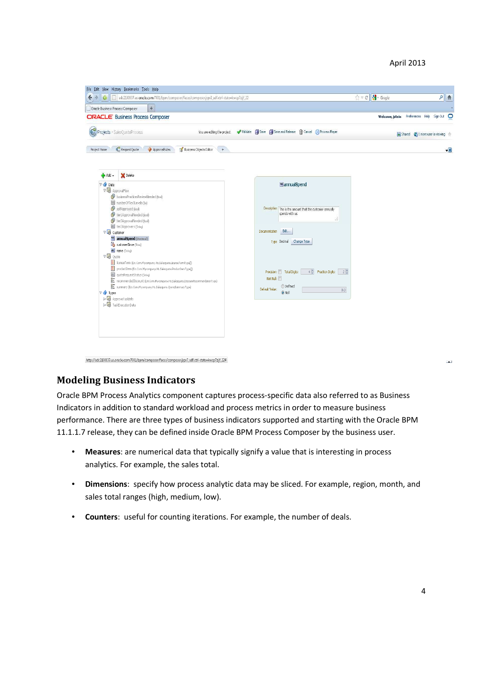#### April 2013



#### http://adc2100937.us.oracle.com:7001/bpm/composer/faces/composer.jspx?\_adf.ctrl-state=kwcp7zijf\_22#

## **Modeling Business Indicators**

Oracle BPM Process Analytics component captures process-specific data also referred to as Business Indicators in addition to standard workload and process metrics in order to measure business performance. There are three types of business indicators supported and starting with the Oracle BPM 11.1.1.7 release, they can be defined inside Oracle BPM Process Composer by the business user.

- **Measures**: are numerical data that typically signify a value that is interesting in process analytics. For example, the sales total.
- **Dimensions**: specify how process analytic data may be sliced. For example, region, month, and sales total ranges (high, medium, low).
- **Counters**: useful for counting iterations. For example, the number of deals.

 $\overline{\phantom{a}}$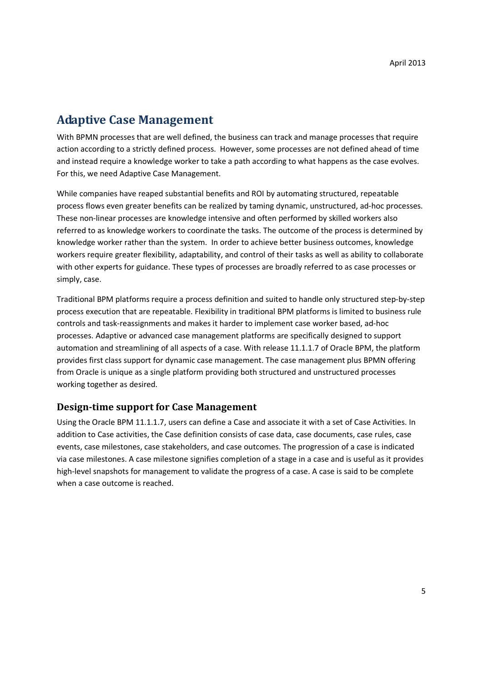# **Adaptive Case Management**

With BPMN processes that are well defined, the business can track and manage processes that require action according to a strictly defined process. However, some processes are not defined ahead of time and instead require a knowledge worker to take a path according to what happens as the case evolves. For this, we need Adaptive Case Management.

While companies have reaped substantial benefits and ROI by automating structured, repeatable process flows even greater benefits can be realized by taming dynamic, unstructured, ad-hoc processes. These non-linear processes are knowledge intensive and often performed by skilled workers also referred to as knowledge workers to coordinate the tasks. The outcome of the process is determined by knowledge worker rather than the system. In order to achieve better business outcomes, knowledge workers require greater flexibility, adaptability, and control of their tasks as well as ability to collaborate with other experts for guidance. These types of processes are broadly referred to as case processes or simply, case.

Traditional BPM platforms require a process definition and suited to handle only structured step-by-step process execution that are repeatable. Flexibility in traditional BPM platforms is limited to business rule controls and task-reassignments and makes it harder to implement case worker based, ad-hoc processes. Adaptive or advanced case management platforms are specifically designed to support automation and streamlining of all aspects of a case. With release 11.1.1.7 of Oracle BPM, the platform provides first class support for dynamic case management. The case management plus BPMN offering from Oracle is unique as a single platform providing both structured and unstructured processes working together as desired.

### **Design-time support for Case Management**

Using the Oracle BPM 11.1.1.7, users can define a Case and associate it with a set of Case Activities. In addition to Case activities, the Case definition consists of case data, case documents, case rules, case events, case milestones, case stakeholders, and case outcomes. The progression of a case is indicated via case milestones. A case milestone signifies completion of a stage in a case and is useful as it provides high-level snapshots for management to validate the progress of a case. A case is said to be complete when a case outcome is reached.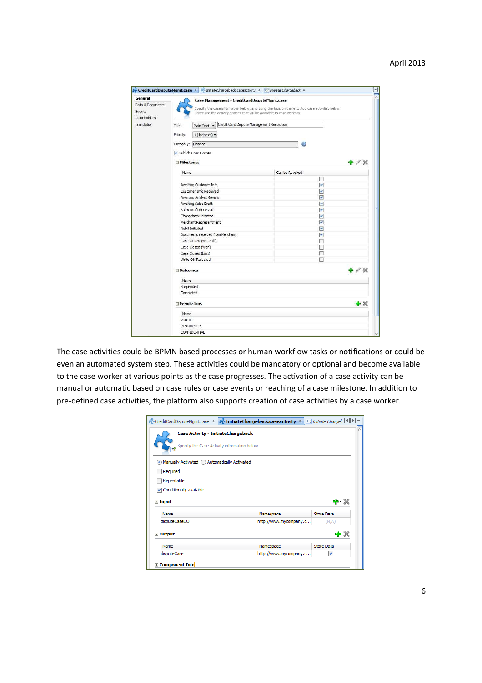|                                       | <b>// CreditCardDisputeMgmt.case X //</b> InitiateChargeback.caseactivity X   <i>Mitiate Chargeback</i> X |                                                                                                                                                                          |  |  |  |  |
|---------------------------------------|-----------------------------------------------------------------------------------------------------------|--------------------------------------------------------------------------------------------------------------------------------------------------------------------------|--|--|--|--|
| General<br>Data & Documents<br>Events | Case Management - CreditCardDisputeMgmt.case                                                              | Specify the case information below, and using the tabs on the left. Add case activities below.<br>There are the activity options that will be available to case workers. |  |  |  |  |
| Stakeholders<br>Translation           | Credit Card Dispute Management Resolution<br>Title:<br>Plain Text <b>v</b>                                |                                                                                                                                                                          |  |  |  |  |
|                                       | Priority:                                                                                                 |                                                                                                                                                                          |  |  |  |  |
|                                       | $1$ (highest) $\blacktriangledown$                                                                        |                                                                                                                                                                          |  |  |  |  |
|                                       | Finance<br>Category:                                                                                      |                                                                                                                                                                          |  |  |  |  |
|                                       | Publish Case Events                                                                                       |                                                                                                                                                                          |  |  |  |  |
|                                       |                                                                                                           |                                                                                                                                                                          |  |  |  |  |
|                                       | <b>E</b> Milestones                                                                                       |                                                                                                                                                                          |  |  |  |  |
|                                       | Name                                                                                                      | Can be Revoked                                                                                                                                                           |  |  |  |  |
|                                       |                                                                                                           | П                                                                                                                                                                        |  |  |  |  |
|                                       | Awaiting Customer Info                                                                                    | $\overline{\mathsf{v}}$                                                                                                                                                  |  |  |  |  |
|                                       | Customer Info Received                                                                                    | $\checkmark$                                                                                                                                                             |  |  |  |  |
|                                       | Awaiting Analyst Review                                                                                   | $\overline{\mathbf{v}}$                                                                                                                                                  |  |  |  |  |
|                                       | Awaiting Sales Draft                                                                                      | $\overline{\mathbf{v}}$                                                                                                                                                  |  |  |  |  |
|                                       | Sales Draft Received                                                                                      | $\overline{\mathbf{v}}$                                                                                                                                                  |  |  |  |  |
|                                       | Chargeback Initiated                                                                                      | V                                                                                                                                                                        |  |  |  |  |
|                                       | Merchant Representment                                                                                    | $\overline{\mathbf{v}}$                                                                                                                                                  |  |  |  |  |
|                                       | Rebill Initiated                                                                                          | V                                                                                                                                                                        |  |  |  |  |
|                                       | Documents received from Merchant                                                                          | $\overline{\mathbf{v}}$                                                                                                                                                  |  |  |  |  |
|                                       | Case Closed (Writeoff)                                                                                    |                                                                                                                                                                          |  |  |  |  |
|                                       | Case Closed (Won)                                                                                         |                                                                                                                                                                          |  |  |  |  |
|                                       | Case Closed (Lost)                                                                                        |                                                                                                                                                                          |  |  |  |  |
|                                       | Write Off Rejected                                                                                        |                                                                                                                                                                          |  |  |  |  |
|                                       | $=$ Outcomes                                                                                              |                                                                                                                                                                          |  |  |  |  |
|                                       | Name                                                                                                      |                                                                                                                                                                          |  |  |  |  |
|                                       | Suspended                                                                                                 |                                                                                                                                                                          |  |  |  |  |
|                                       | Completed                                                                                                 |                                                                                                                                                                          |  |  |  |  |
|                                       | <b>Permissions</b>                                                                                        | $+ \times$                                                                                                                                                               |  |  |  |  |
|                                       | Name                                                                                                      |                                                                                                                                                                          |  |  |  |  |
|                                       | PUBLIC                                                                                                    |                                                                                                                                                                          |  |  |  |  |
|                                       | <b>RESTRICTED</b>                                                                                         |                                                                                                                                                                          |  |  |  |  |
|                                       | CONFIDENTIAL                                                                                              |                                                                                                                                                                          |  |  |  |  |

The case activities could be BPMN based processes or human workflow tasks or notifications or could be even an automated system step. These activities could be mandatory or optional and become available to the case worker at various points as the case progresses. The activation of a case activity can be manual or automatic based on case rules or case events or reaching of a case milestone. In addition to pre-defined case activities, the platform also supports creation of case activities by a case worker.

|                                         | CreditCardDisputeMgmt.case x <b>R</b> InitiateChargeback.caseactivity x <b>R</b> Initiate Charget 1 D |                        |                   |   |
|-----------------------------------------|-------------------------------------------------------------------------------------------------------|------------------------|-------------------|---|
|                                         | <b>Case Activity - InitiateChargeback</b>                                                             |                        |                   |   |
|                                         | Specify the Case Activity information below.                                                          |                        |                   |   |
|                                         | • Manually Activated Automatically Activated                                                          |                        |                   |   |
| Required                                |                                                                                                       |                        |                   |   |
| Repeatable                              |                                                                                                       |                        |                   |   |
|                                         |                                                                                                       |                        |                   |   |
|                                         | Conditionally available                                                                               |                        |                   |   |
|                                         |                                                                                                       |                        |                   |   |
| $\Box$ Input                            |                                                                                                       |                        | + ≫               |   |
| Name                                    |                                                                                                       | Namespace              | Store Data        |   |
| disputeCaseDO                           |                                                                                                       | http://www.mycompany.c | (N/A)             |   |
| $\equiv$ Output                         |                                                                                                       |                        |                   | ≫ |
| Name                                    |                                                                                                       | Namespace              | <b>Store Data</b> |   |
| disputeCase                             |                                                                                                       | http://www.mycompany.c | $\checkmark$      |   |
| <b>Component Info</b><br>$\overline{+}$ |                                                                                                       |                        |                   |   |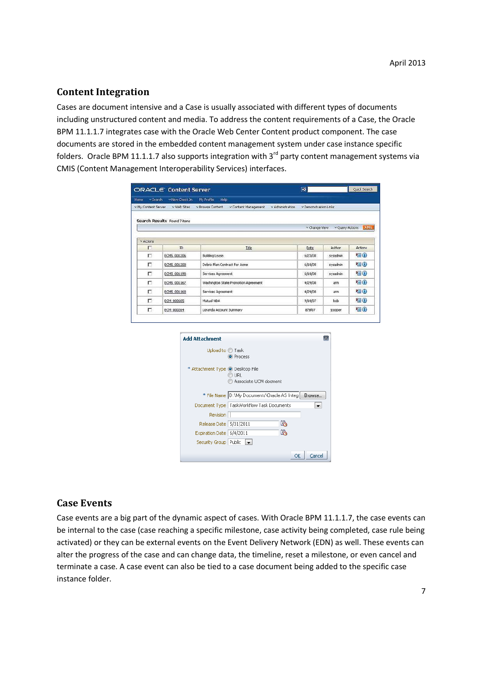#### **Content Integration**

Cases are document intensive and a Case is usually associated with different types of documents including unstructured content and media. To address the content requirements of a Case, the Oracle BPM 11.1.1.7 integrates case with the Oracle Web Center Content product component. The case documents are stored in the embedded content management system under case instance specific folders. Oracle BPM 11.1.1.7 also supports integration with  $3<sup>rd</sup>$  party content management systems via CMIS (Content Management Interoperability Services) interfaces.

|                     | ORACLE' Content Server       |                                                                     | 50                    |                 | Quick Search |
|---------------------|------------------------------|---------------------------------------------------------------------|-----------------------|-----------------|--------------|
| v Search<br>Home    | v New Check In               | Help<br>My Profile                                                  |                       |                 |              |
| v My Content Server | v Web Sites                  | v Browse Content<br>v Content Management<br>$\times$ Administration | ~ Demonstration Links |                 |              |
|                     | Search Results Found 7 items |                                                                     |                       |                 |              |
|                     |                              |                                                                     | v Change View         | v Query Actions | XML          |
|                     |                              |                                                                     |                       |                 |              |
| × Artinns           |                              |                                                                     |                       |                 |              |
| п                   | ID.                          | Title                                                               | Date:                 | <b>Author</b>   | Actions      |
| г                   | ECM5 001206                  | <b>Building Lease</b>                                               | 6/23/08               | sysadmin        | 宿の           |
| г                   | ECMS 001200                  | Debris Plan Contract For Acme                                       | 6/18/08               | sysadmin        | 相の           |
| г                   | ECMS 001198                  | Services Agreement                                                  | 6/18/08               | sysadmin        | 相の           |
| п                   | ECM5 001167                  | Washington State Promotion Agreement                                | 4/29/08               | ann             | 相の           |
| п                   | ECM5 001168                  | Services Agreement                                                  | 4/29/08               | ann             | 宿の           |
| п                   | ECM 000605                   | Mutual NDA                                                          | 9/10/07               | bob             | 相の           |
|                     |                              |                                                                     |                       |                 |              |

| <b>Add Attachment</b>            |                                             |    |    |              | İΧ |
|----------------------------------|---------------------------------------------|----|----|--------------|----|
| Upload to @ Task                 | O Process                                   |    |    |              |    |
|                                  |                                             |    |    |              |    |
| * Attachment Type O Desktop File | URL                                         |    |    |              |    |
|                                  | Associate UCM docment                       |    |    |              |    |
|                                  |                                             |    |    |              |    |
|                                  | * File Name D:\My Documents\Oracle AS Integ |    |    | Browse       |    |
|                                  | Document Type   TaskWorkflow Task Documents |    |    | $\mathbf{r}$ |    |
| Revision                         |                                             |    |    |              |    |
| Release Date 5/31/2011           |                                             | 卧  |    |              |    |
| Expiration Date   6/4/2011       |                                             | l? |    |              |    |
| Security Group   Public          |                                             |    |    |              |    |
|                                  |                                             |    |    |              |    |
|                                  |                                             |    | ОК | Cancel       |    |

### **Case Events**

Case events are a big part of the dynamic aspect of cases. With Oracle BPM 11.1.1.7, the case events can be internal to the case (case reaching a specific milestone, case activity being completed, case rule being activated) or they can be external events on the Event Delivery Network (EDN) as well. These events can alter the progress of the case and can change data, the timeline, reset a milestone, or even cancel and terminate a case. A case event can also be tied to a case document being added to the specific case instance folder.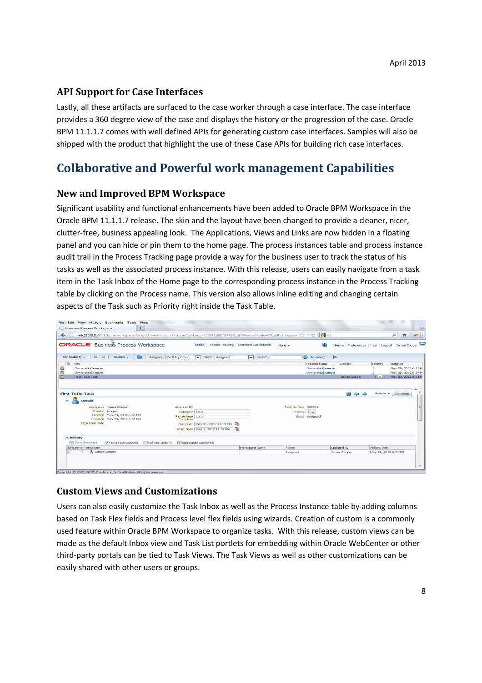### **API Support for Case Interfaces**

Lastly, all these artifacts are surfaced to the case worker through a case interface. The case interface provides a 360 degree view of the case and displays the history or the progression of the case. Oracle BPM 11.1.1.7 comes with well defined APIs for generating custom case interfaces. Samples will also be shipped with the product that highlight the use of these Case APIs for building rich case interfaces.

# **Collaborative and Powerful work management Capabilities**

#### **New and Improved BPM Workspace**

Significant usability and functional enhancements have been added to Oracle BPM Workspace in the Oracle BPM 11.1.1.7 release. The skin and the layout have been changed to provide a cleaner, nicer, clutter-free, business appealing look. The Applications, Views and Links are now hidden in a floating panel and you can hide or pin them to the home page. The process instances table and process instance audit trail in the Process Tracking page provide a way for the business user to track the status of his tasks as well as the associated process instance. With this release, users can easily navigate from a task item in the Task Inbox of the Home page to the corresponding process instance in the Process Tracking table by clicking on the Process name. This version also allows inline editing and changing certain aspects of the Task such as Priority right inside the Task Table.

| $+$<br><b>Business Process Workspace</b>                                                                                                         |                                                |                          |                    |                                                         |                      |                                            |
|--------------------------------------------------------------------------------------------------------------------------------------------------|------------------------------------------------|--------------------------|--------------------|---------------------------------------------------------|----------------------|--------------------------------------------|
| adc2100931:8001/bpm/workspace/faces/jsf/worklist/worklist.jspx?_afrLoop=100241186157448&_afrWindowMode=0&_adf.ctrl-state= 22 V<br>$\leftarrow$ 0 |                                                |                          |                    | $3 - 1$                                                 |                      | ٩<br>合                                     |
| ORACLE Business Process Workspace                                                                                                                | Tasks   Process Tracking   Standard Dashboards |                          | More $\div$        | Home   Preferences   Help   Logout   James Cooper<br>্য |                      |                                            |
| Actions $\sim$<br>ුල<br>My Tasks $(3)$ $\star$                                                                                                   | Assignee Me & My Group<br>state Assigned       | $\blacksquare$<br>Search | (D) Advanced       | $\Rightarrow$                                           |                      |                                            |
| E Title                                                                                                                                          |                                                |                          | Process Name       | Creator                                                 | Priority             | Assigned                                   |
| OwnershipExample                                                                                                                                 |                                                |                          | OwnershipExample   |                                                         | 3                    | May 29, 2012 6:23 P                        |
| OwnershipExample<br>First ToDo Task                                                                                                              |                                                |                          | OwnershipExample   | <b>James Cooper</b>                                     | 3<br>$1 -$           | May 29, 2012 6:24 P<br>May 29, 2012 6:51 P |
| <b>First ToDo Task</b>                                                                                                                           |                                                |                          |                    | ×<br>$\Rightarrow$                                      |                      | -<br>$Actions$ $\leftarrow$ Complete       |
| $\sim$<br><b>Details</b>                                                                                                                         |                                                |                          |                    | $\Leftrightarrow$                                       |                      |                                            |
| Assignees James Cooper                                                                                                                           | Acquired By                                    |                          | Task Number 200011 |                                                         |                      |                                            |
| Creator jcooper<br>Created May 29, 2012 6:51 PM                                                                                                  | Category ToDo                                  |                          | Priority 1         |                                                         |                      |                                            |
| Updated May 29, 2012 6:51 PM                                                                                                                     | Percentage 50.0                                |                          | State Assigned     |                                                         |                      |                                            |
| <b>Expiration Date</b>                                                                                                                           | Due Date   May 31, 2012 11:59 PM 20            |                          |                    |                                                         |                      |                                            |
|                                                                                                                                                  | Start Date May 1, 2012 11:59 PM                |                          |                    |                                                         |                      |                                            |
| v History<br>V Future participants Full task actions<br>[@] View Snapshot                                                                        | Aggregate Approvals                            |                          |                    |                                                         |                      |                                            |
|                                                                                                                                                  |                                                | Participant Name         | Action             | Updated By                                              | <b>Action Date</b>   |                                            |
| Sequence Participant                                                                                                                             |                                                |                          | Assigned           | James Cooper                                            | May 29, 2012 6:51 PM |                                            |

## **Custom Views and Customizations**

Users can also easily customize the Task Inbox as well as the Process Instance table by adding columns based on Task Flex fields and Process level flex fields using wizards. Creation of custom is a commonly used feature within Oracle BPM Workspace to organize tasks. With this release, custom views can be made as the default Inbox view and Task List portlets for embedding within Oracle WebCenter or other third-party portals can be tied to Task Views. The Task Views as well as other customizations can be easily shared with other users or groups.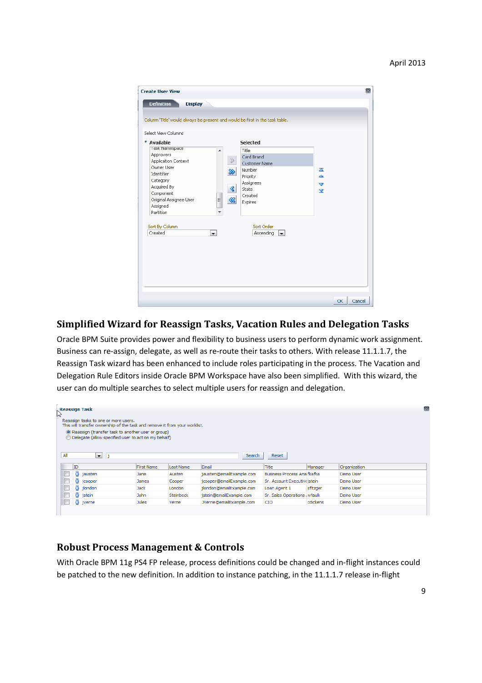| Select View Columns<br>* Available<br><b>Task Namespace</b><br>Approvers<br>Application Context<br>Owner User<br>Identifier<br>Category<br>Acquired By<br>Component<br>Original Assignee User<br>Assigned<br>Partition<br>Sort By Column<br>Created | ▲<br>$\gg$<br>≫<br>∢<br>$\equiv$<br>«<br>$\overline{\phantom{a}}$<br>$\overline{\phantom{a}}$ | <b>Selected</b><br>Title<br>Card Brand<br>Customer Name<br>Number<br>Priority<br>Assignees<br>State<br>Created<br>Expires<br>Sort Order<br>Ascending<br>$\overline{\phantom{a}}$ | 즈<br>$\triangle$<br>$\triangledown$<br>▽ |  |
|-----------------------------------------------------------------------------------------------------------------------------------------------------------------------------------------------------------------------------------------------------|-----------------------------------------------------------------------------------------------|----------------------------------------------------------------------------------------------------------------------------------------------------------------------------------|------------------------------------------|--|
|-----------------------------------------------------------------------------------------------------------------------------------------------------------------------------------------------------------------------------------------------------|-----------------------------------------------------------------------------------------------|----------------------------------------------------------------------------------------------------------------------------------------------------------------------------------|------------------------------------------|--|

#### **Simplified Wizard for Reassign Tasks, Vacation Rules and Delegation Tasks**

Oracle BPM Suite provides power and flexibility to business users to perform dynamic work assignment. Business can re-assign, delegate, as well as re-route their tasks to others. With release 11.1.1.7, the Reassign Task wizard has been enhanced to include roles participating in the process. The Vacation and Delegation Rule Editors inside Oracle BPM Workspace have also been simplified. With this wizard, the user can do multiple searches to select multiple users for reassign and delegation.

| <b>Reassign Task</b><br>ht<br>Reassign tasks to one or more users.<br>This will transfer ownership of the task and remove it from your worklist.<br>• Reassign (transfer task to another user or group)<br>© Delegate (allow specified user to act on my behalf) |                   |           |                          |                                    |          | $\propto$    |
|------------------------------------------------------------------------------------------------------------------------------------------------------------------------------------------------------------------------------------------------------------------|-------------------|-----------|--------------------------|------------------------------------|----------|--------------|
| All<br>$\blacksquare$ j                                                                                                                                                                                                                                          |                   |           | Search                   | Reset                              |          |              |
| ID                                                                                                                                                                                                                                                               | <b>First Name</b> | Last Name | Email                    | Title                              | Manager  | Organization |
| a<br>jausten                                                                                                                                                                                                                                                     | Jane              | Austen    | jausten@emailExample.com | <b>Business Process Ana fkafka</b> |          | Demo User    |
| a.<br>jcooper                                                                                                                                                                                                                                                    | <b>James</b>      | Cooper    | jcooper@emailExample.com | Sr. Account Executive istein       |          | Demo User    |
| ô<br>jlondon                                                                                                                                                                                                                                                     | <b>Jack</b>       | London    | jlondon@emailExample.com | Loan Agent 1                       | sfitzger | Demo User    |
| 8<br>jstein                                                                                                                                                                                                                                                      | John              | Steinbeck | istein@emailExample.com  | Sr. Sales Operations / wfaulk      |          | Demo User    |
| ð.<br>jverne                                                                                                                                                                                                                                                     | Jules             | Verne     | JVerne@emailExample.com  | CIO                                | cdickens | Demo User    |
|                                                                                                                                                                                                                                                                  |                   |           |                          |                                    |          |              |

#### **Robust Process Management & Controls**

With Oracle BPM 11g PS4 FP release, process definitions could be changed and in-flight instances could be patched to the new definition. In addition to instance patching, in the 11.1.1.7 release in-flight